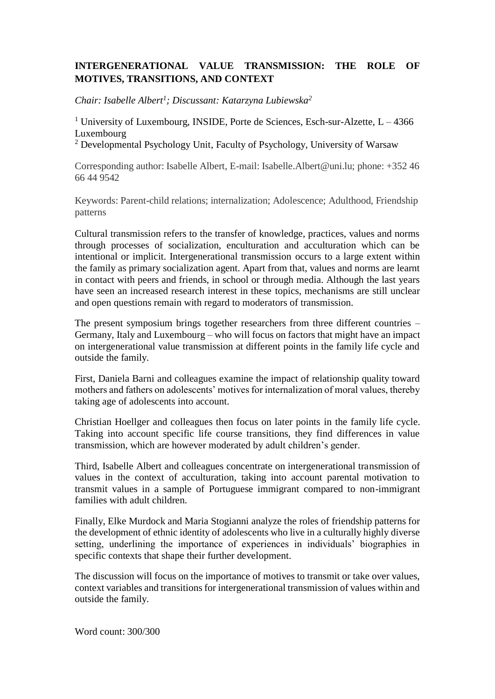## **INTERGENERATIONAL VALUE TRANSMISSION: THE ROLE OF MOTIVES, TRANSITIONS, AND CONTEXT**

*Chair: Isabelle Albert<sup>1</sup> ; Discussant: Katarzyna Lubiewska<sup>2</sup>*

<sup>1</sup> University of Luxembourg, INSIDE, Porte de Sciences, Esch-sur-Alzette,  $L - 4366$ Luxembourg

<sup>2</sup> Developmental Psychology Unit, Faculty of Psychology, University of Warsaw

Corresponding author: Isabelle Albert, E-mail: Isabelle.Albert@uni.lu; phone: +352 46 66 44 9542

Keywords: Parent-child relations; internalization; Adolescence; Adulthood, Friendship patterns

Cultural transmission refers to the transfer of knowledge, practices, values and norms through processes of socialization, enculturation and acculturation which can be intentional or implicit. Intergenerational transmission occurs to a large extent within the family as primary socialization agent. Apart from that, values and norms are learnt in contact with peers and friends, in school or through media. Although the last years have seen an increased research interest in these topics, mechanisms are still unclear and open questions remain with regard to moderators of transmission.

The present symposium brings together researchers from three different countries – Germany, Italy and Luxembourg – who will focus on factors that might have an impact on intergenerational value transmission at different points in the family life cycle and outside the family.

First, Daniela Barni and colleagues examine the impact of relationship quality toward mothers and fathers on adolescents' motives for internalization of moral values, thereby taking age of adolescents into account.

Christian Hoellger and colleagues then focus on later points in the family life cycle. Taking into account specific life course transitions, they find differences in value transmission, which are however moderated by adult children's gender.

Third, Isabelle Albert and colleagues concentrate on intergenerational transmission of values in the context of acculturation, taking into account parental motivation to transmit values in a sample of Portuguese immigrant compared to non-immigrant families with adult children.

Finally, Elke Murdock and Maria Stogianni analyze the roles of friendship patterns for the development of ethnic identity of adolescents who live in a culturally highly diverse setting, underlining the importance of experiences in individuals' biographies in specific contexts that shape their further development.

The discussion will focus on the importance of motives to transmit or take over values, context variables and transitions for intergenerational transmission of values within and outside the family.

Word count: 300/300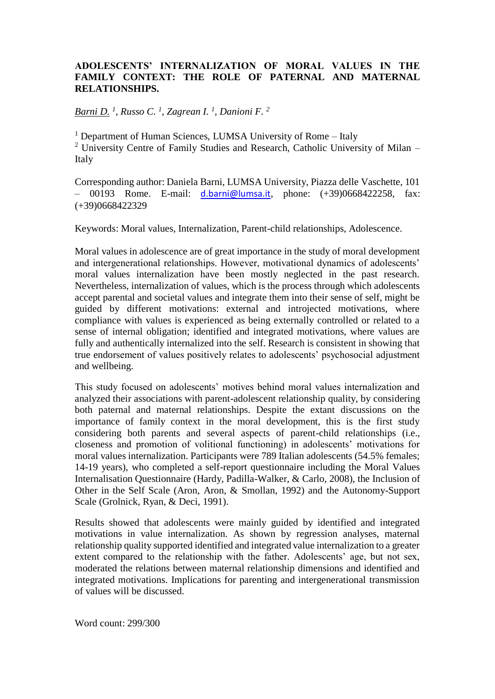#### **ADOLESCENTS' INTERNALIZATION OF MORAL VALUES IN THE FAMILY CONTEXT: THE ROLE OF PATERNAL AND MATERNAL RELATIONSHIPS.**

*Barni D. <sup>1</sup> , Russo C. <sup>1</sup> , Zagrean I. <sup>1</sup> , Danioni F. <sup>2</sup>*

<sup>1</sup> Department of Human Sciences, LUMSA University of Rome – Italy <sup>2</sup> University Centre of Family Studies and Research, Catholic University of Milan – Italy

Corresponding author: Daniela Barni, LUMSA University, Piazza delle Vaschette, 101  $-$  00193 Rome. E-mail:  $d.barni@lumsa.it$ , phone:  $(+39)0668422258$ , fax: (+39)0668422329

Keywords: Moral values, Internalization, Parent-child relationships, Adolescence.

Moral values in adolescence are of great importance in the study of moral development and intergenerational relationships. However, motivational dynamics of adolescents' moral values internalization have been mostly neglected in the past research. Nevertheless, internalization of values, which is the process through which adolescents accept parental and societal values and integrate them into their sense of self, might be guided by different motivations: external and introjected motivations, where compliance with values is experienced as being externally controlled or related to a sense of internal obligation; identified and integrated motivations, where values are fully and authentically internalized into the self. Research is consistent in showing that true endorsement of values positively relates to adolescents' psychosocial adjustment and wellbeing.

This study focused on adolescents' motives behind moral values internalization and analyzed their associations with parent-adolescent relationship quality, by considering both paternal and maternal relationships. Despite the extant discussions on the importance of family context in the moral development, this is the first study considering both parents and several aspects of parent-child relationships (i.e., closeness and promotion of volitional functioning) in adolescents' motivations for moral values internalization. Participants were 789 Italian adolescents (54.5% females; 14-19 years), who completed a self-report questionnaire including the Moral Values Internalisation Questionnaire (Hardy, Padilla-Walker, & Carlo, 2008), the Inclusion of Other in the Self Scale (Aron, Aron, & Smollan, 1992) and the Autonomy-Support Scale (Grolnick, Ryan, & Deci, 1991).

Results showed that adolescents were mainly guided by identified and integrated motivations in value internalization. As shown by regression analyses, maternal relationship quality supported identified and integrated value internalization to a greater extent compared to the relationship with the father. Adolescents' age, but not sex, moderated the relations between maternal relationship dimensions and identified and integrated motivations. Implications for parenting and intergenerational transmission of values will be discussed.

Word count: 299/300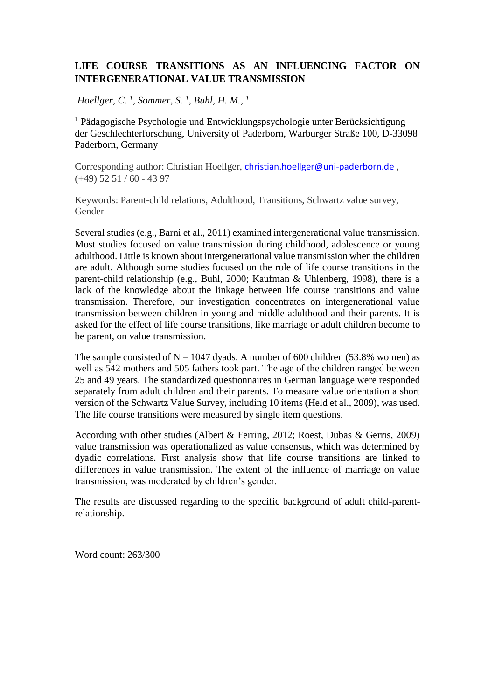## **LIFE COURSE TRANSITIONS AS AN INFLUENCING FACTOR ON INTERGENERATIONAL VALUE TRANSMISSION**

*Hoellger, C. <sup>1</sup> , Sommer, S. <sup>1</sup> , Buhl, H. M., <sup>1</sup>*

<sup>1</sup> Pädagogische Psychologie und Entwicklungspsychologie unter Berücksichtigung der Geschlechterforschung, University of Paderborn, Warburger Straße 100, D-33098 Paderborn, Germany

Corresponding author: Christian Hoellger, [christian.hoellger@uni-paderborn.de](mailto:christian.hoellger@uni-paderborn.de) ,  $(+49)$  52 51 / 60 - 43 97

Keywords: Parent-child relations, Adulthood, Transitions, Schwartz value survey, Gender

Several studies (e.g., Barni et al., 2011) examined intergenerational value transmission. Most studies focused on value transmission during childhood, adolescence or young adulthood. Little is known about intergenerational value transmission when the children are adult. Although some studies focused on the role of life course transitions in the parent-child relationship (e.g., Buhl, 2000; Kaufman & Uhlenberg, 1998), there is a lack of the knowledge about the linkage between life course transitions and value transmission. Therefore, our investigation concentrates on intergenerational value transmission between children in young and middle adulthood and their parents. It is asked for the effect of life course transitions, like marriage or adult children become to be parent, on value transmission.

The sample consisted of  $N = 1047$  dyads. A number of 600 children (53.8% women) as well as 542 mothers and 505 fathers took part. The age of the children ranged between 25 and 49 years. The standardized questionnaires in German language were responded separately from adult children and their parents. To measure value orientation a short version of the Schwartz Value Survey, including 10 items (Held et al., 2009), was used. The life course transitions were measured by single item questions.

According with other studies (Albert & Ferring, 2012; Roest, Dubas & Gerris, 2009) value transmission was operationalized as value consensus, which was determined by dyadic correlations. First analysis show that life course transitions are linked to differences in value transmission. The extent of the influence of marriage on value transmission, was moderated by children's gender.

The results are discussed regarding to the specific background of adult child-parentrelationship.

Word count: 263/300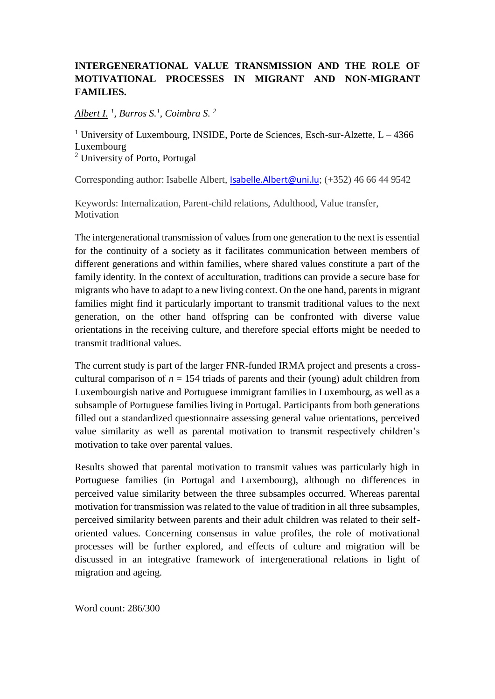# **INTERGENERATIONAL VALUE TRANSMISSION AND THE ROLE OF MOTIVATIONAL PROCESSES IN MIGRANT AND NON-MIGRANT FAMILIES.**

*Albert I. <sup>1</sup> , Barros S.<sup>1</sup> , Coimbra S. <sup>2</sup>*

<sup>1</sup> University of Luxembourg, INSIDE, Porte de Sciences, Esch-sur-Alzette,  $L - 4366$ Luxembourg <sup>2</sup> University of Porto, Portugal

Corresponding author: Isabelle Albert, [Isabelle.Albert@uni.lu](mailto:Isabelle.Albert@uni.lu); (+352) 46 66 44 9542

Keywords: Internalization, Parent-child relations, Adulthood, Value transfer, **Motivation** 

The intergenerational transmission of values from one generation to the next is essential for the continuity of a society as it facilitates communication between members of different generations and within families, where shared values constitute a part of the family identity. In the context of acculturation, traditions can provide a secure base for migrants who have to adapt to a new living context. On the one hand, parents in migrant families might find it particularly important to transmit traditional values to the next generation, on the other hand offspring can be confronted with diverse value orientations in the receiving culture, and therefore special efforts might be needed to transmit traditional values.

The current study is part of the larger FNR-funded IRMA project and presents a crosscultural comparison of  $n = 154$  triads of parents and their (young) adult children from Luxembourgish native and Portuguese immigrant families in Luxembourg, as well as a subsample of Portuguese families living in Portugal. Participants from both generations filled out a standardized questionnaire assessing general value orientations, perceived value similarity as well as parental motivation to transmit respectively children's motivation to take over parental values.

Results showed that parental motivation to transmit values was particularly high in Portuguese families (in Portugal and Luxembourg), although no differences in perceived value similarity between the three subsamples occurred. Whereas parental motivation for transmission was related to the value of tradition in all three subsamples, perceived similarity between parents and their adult children was related to their selforiented values. Concerning consensus in value profiles, the role of motivational processes will be further explored, and effects of culture and migration will be discussed in an integrative framework of intergenerational relations in light of migration and ageing.

Word count: 286/300